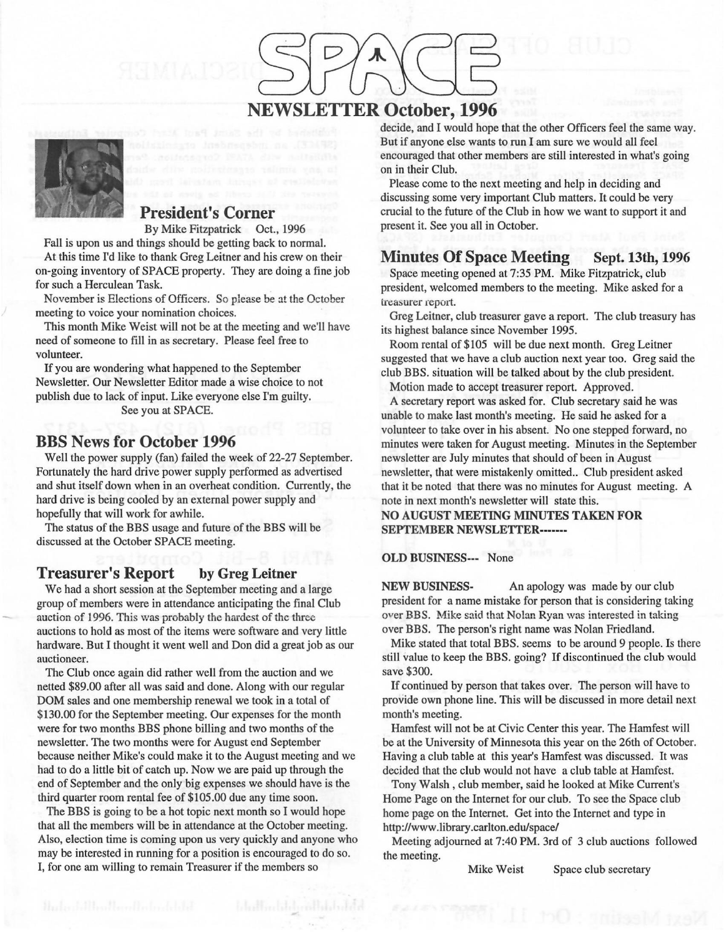### **NEWSLETTER October, 1996**



#### **President's Corner**

By **Mike** Fitzpatrick Oct., 1996

Fall is upon us and things should be getting back to normal. At this time I'd like to thank Greg Leitner and his crew on their on-going inventory of SPACE property. They are doing a fine job for such a Herculean Task.

November is Elections of Officers. So please be at the October meeting to voice your nomination choices.

This month **Mike** Weist will not be at the meeting and we'll have need of someone to fill in as secretary. Please feel free to volunteer.

If you are wondering what happened to the September Newsletter. Our Newsletter Editor made a wise choice to not publish due to Jack of input. Like everyone else I'm guilty. See you at SPACE.

#### **BBS News for October 1996**

Well the power supply (fan) failed the week of 22-27 September. Fortunately the hard drive power supply performed as advertised and shut itself down when in an overheat condition. Currently, the hard drive is being cooled by an external power supply and hopefully that will work for awhile.

The status of the BBS usage and future of the BBS will be discussed at the October SPACE meeting.

#### **Treasurer's Report** by Greg Leitner

We had a short session at the September meeting and a large group of members were in attendance anticipating the final Club auction of 1996. This was probably the hardest of the three auctions to hold as most of the items were software and very little hardware. But I thought it went well and Don did a great job as our auctioneer.

The Club once again did rather well from the auction and we netted \$89.00 after all was said and done. Along with our regular DOM sales and one membership renewal we took in a total of \$130.00 for the September meeting. Our expenses for the month were for two months BBS phone billing and two months of the newsletter. The two months were for August end September because neither Mike's could make it to the August meeting and we had to do a little bit of catch up. Now we are paid up through the end of September and the only big expenses we should have is the third quarter room rental fee of \$105 .00 due any time soon.

The BBS is going to be a hot topic next month so I would hope that all the members will be in attendance at the October meeting. Also, election time is coming upon us very quickly and anyone who may be interested in running for a position is encouraged to do so. I, for one am willing to remain Treasurer if the members so

decide, and I would hope that the other Officers feel the same way. But if anyone else wants to run I am sure we would all feel encouraged that other members are still interested in what's going on in their Club.

Please come to the next meeting and help in deciding and discussing some very important Club matters. It could be very crucial to the future of the Club in how we want to support it and present it. See you all in October.

#### Minutes Of Space Meeting Sept. 13th, 1996

Space meeting opened at 7:35 PM. Mike Fitzpatrick, club president, welcomed members to the meeting. Mike asked for a treasurer report.

Greg Leitner, club treasurer gave a report. The club treasury has its highest balance since November 1995.

Room rental of \$105 will be due next month. Greg Leitner suggested that we have a club auction next year too. Greg said the club BBS. situation will be talked about by the club president.

Motion made to accept treasurer report. Approved.

A secretary report was asked for. Club secretary said he was unable to make last month's meeting. He said he asked for a volunteer to take over in his absent. No one stepped forward, no minutes were taken for August meeting. Minutes in the September newsletter are July minutes that should of been in August newsletter, that were mistakenly omitted.. Club president asked that it be noted that there was no minutes for August meeting. A note in next month's newsletter will state this.

**NO AUGUST MEETING MINUTES TAKEN FOR SEPTEMBER NEWSLETTER-------**

#### **OLD BUSINESS---** None

**NEW BUSINESS-** An apology was made by our club president for a name mistake for person that is considering taking over BBS. Mike said that Nolan Ryan was interested in taking over BBS. The person's right name was Nolan Friedland.

Mike stated that total BBS. seems to be around 9 people. Is there still value to keep the BBS. going? If discontinued the club would save \$300.

If continued by person that takes over. The person will have to provide own phone line. This will be discussed in more detail next month's meeting.

Hamfest will not be at Civic Center this year. The Hamfest will be at the University of Minnesota this year on the 26th of October. Having a club table at this year's Hamfest was discussed. It was decided that the club would not have a club table at Hamfest.

Tony Walsh, club member, said he looked at Mike Current's Home Page on the Internet for our club. To see the Space club home page on the Internet. Get into the Internet and type in http://www.library.carlton.edu/space/

Meeting adjourned at 7:40 PM. 3rd of 3 club auctions followed the meeting.

Mike Weist Space club secretary